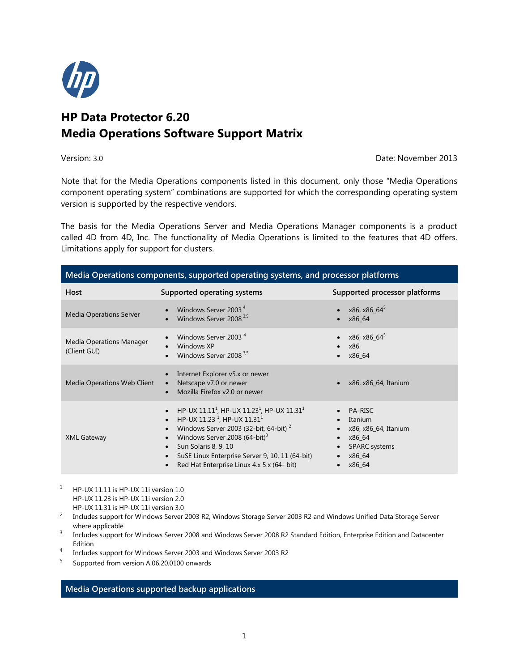

# **HP Data Protector 6.20 Media Operations Software Support Matrix**

Version: 3.0 Date: November 2013

Note that for the Media Operations components listed in this document, only those "Media Operations component operating system" combinations are supported for which the corresponding operating system version is supported by the respective vendors.

The basis for the Media Operations Server and Media Operations Manager components is a product called 4D from 4D, Inc. The functionality of Media Operations is limited to the features that 4D offers. Limitations apply for support for clusters.

| Media Operations components, supported operating systems, and processor platforms |                                                                                                                                                                                                                                                                                                                            |                                                                                                         |  |  |
|-----------------------------------------------------------------------------------|----------------------------------------------------------------------------------------------------------------------------------------------------------------------------------------------------------------------------------------------------------------------------------------------------------------------------|---------------------------------------------------------------------------------------------------------|--|--|
| Host                                                                              | Supported operating systems                                                                                                                                                                                                                                                                                                | Supported processor platforms                                                                           |  |  |
| <b>Media Operations Server</b>                                                    | Windows Server 2003 <sup>4</sup><br>Windows Server 2008 <sup>3,5</sup>                                                                                                                                                                                                                                                     | x86, x86_64 <sup>5</sup><br>x86 64                                                                      |  |  |
| Media Operations Manager<br>(Client GUI)                                          | Windows Server 2003 <sup>4</sup><br>Windows XP<br>Windows Server 2008 <sup>3,5</sup>                                                                                                                                                                                                                                       | x86, x86_64 <sup>5</sup><br>x86<br>x86 64                                                               |  |  |
| Media Operations Web Client                                                       | Internet Explorer v5.x or newer<br>Netscape v7.0 or newer<br>$\bullet$<br>Mozilla Firefox v2.0 or newer                                                                                                                                                                                                                    | x86, x86 64, Itanium                                                                                    |  |  |
| <b>XML Gateway</b>                                                                | HP-UX $11.111$ , HP-UX $11.231$ , HP-UX $11.311$<br>HP-UX 11.23 <sup>1</sup> , HP-UX 11.31 <sup>1</sup><br>Windows Server 2003 (32-bit, 64-bit) $^2$<br>Windows Server 2008 (64-bit) <sup>3</sup><br>Sun Solaris 8, 9, 10<br>SuSE Linux Enterprise Server 9, 10, 11 (64-bit)<br>Red Hat Enterprise Linux 4.x 5.x (64- bit) | <b>PA-RISC</b><br>Itanium<br>x86, x86 64, Itanium<br>x86 64<br><b>SPARC</b> systems<br>x86_64<br>x86 64 |  |  |

<sup>1</sup> HP-UX 11.11 is HP-UX 11i version 1.0 HP-UX 11.23 is HP-UX 11i version 2.0 HP-UX 11.31 is HP-UX 11i version 3.0

 $^2$  Includes support for Windows Server 2003 R2, Windows Storage Server 2003 R2 and Windows Unified Data Storage Server where applicable

3 Includes support for Windows Server 2008 and Windows Server 2008 R2 Standard Edition, Enterprise Edition and Datacenter Edition

4 Includes support for Windows Server 2003 and Windows Server 2003 R2

5 Supported from version A.06.20.0100 onwards

## **Media Operations supported backup applications**